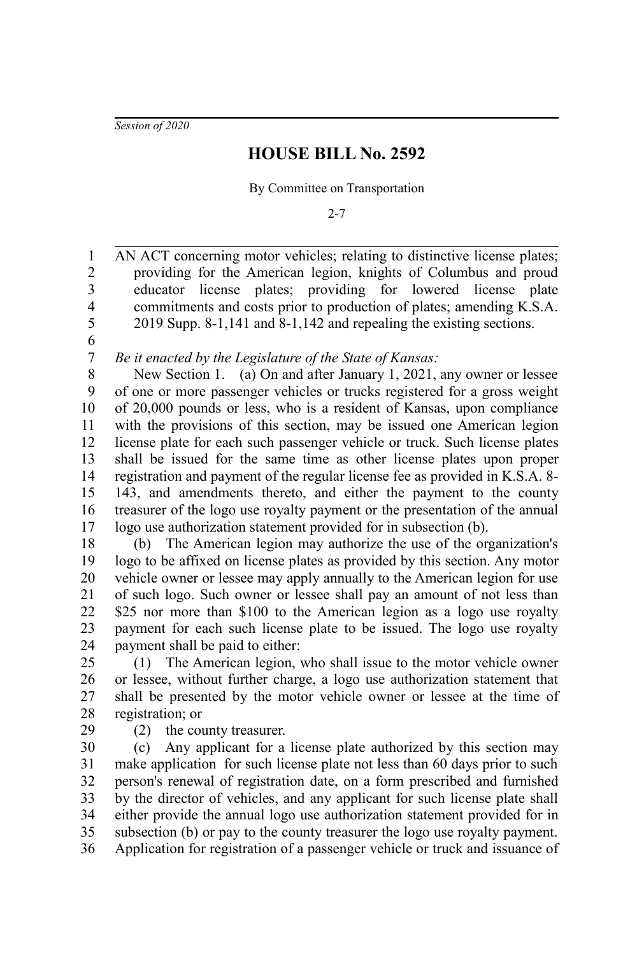*Session of 2020*

## **HOUSE BILL No. 2592**

By Committee on Transportation

2-7

AN ACT concerning motor vehicles; relating to distinctive license plates; providing for the American legion, knights of Columbus and proud educator license plates; providing for lowered license plate commitments and costs prior to production of plates; amending K.S.A. 2019 Supp. 8-1,141 and 8-1,142 and repealing the existing sections. 1 2 3 4 5

6 7

*Be it enacted by the Legislature of the State of Kansas:*

New Section 1. (a) On and after January 1, 2021, any owner or lessee of one or more passenger vehicles or trucks registered for a gross weight of 20,000 pounds or less, who is a resident of Kansas, upon compliance with the provisions of this section, may be issued one American legion license plate for each such passenger vehicle or truck. Such license plates shall be issued for the same time as other license plates upon proper registration and payment of the regular license fee as provided in K.S.A. 8- 143, and amendments thereto, and either the payment to the county treasurer of the logo use royalty payment or the presentation of the annual logo use authorization statement provided for in subsection (b). 8 9 10 11 12 13 14 15 16 17

(b) The American legion may authorize the use of the organization's logo to be affixed on license plates as provided by this section. Any motor vehicle owner or lessee may apply annually to the American legion for use of such logo. Such owner or lessee shall pay an amount of not less than \$25 nor more than \$100 to the American legion as a logo use royalty payment for each such license plate to be issued. The logo use royalty payment shall be paid to either: 18 19 20 21 22 23 24

(1) The American legion, who shall issue to the motor vehicle owner or lessee, without further charge, a logo use authorization statement that shall be presented by the motor vehicle owner or lessee at the time of registration; or 25 26 27 28

- 29
- (2) the county treasurer.

(c) Any applicant for a license plate authorized by this section may make application for such license plate not less than 60 days prior to such person's renewal of registration date, on a form prescribed and furnished by the director of vehicles, and any applicant for such license plate shall either provide the annual logo use authorization statement provided for in subsection (b) or pay to the county treasurer the logo use royalty payment. Application for registration of a passenger vehicle or truck and issuance of 30 31 32 33 34 35 36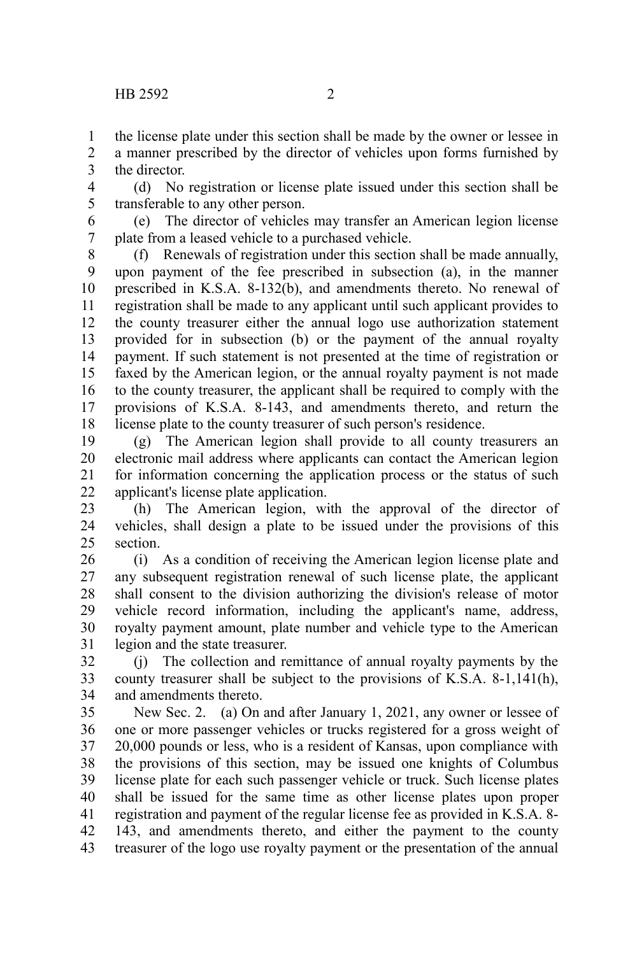the license plate under this section shall be made by the owner or lessee in a manner prescribed by the director of vehicles upon forms furnished by the director. 1 2 3

(d) No registration or license plate issued under this section shall be transferable to any other person. 4 5

(e) The director of vehicles may transfer an American legion license plate from a leased vehicle to a purchased vehicle. 6 7

(f) Renewals of registration under this section shall be made annually, upon payment of the fee prescribed in subsection (a), in the manner prescribed in K.S.A. 8-132(b), and amendments thereto. No renewal of registration shall be made to any applicant until such applicant provides to the county treasurer either the annual logo use authorization statement provided for in subsection (b) or the payment of the annual royalty payment. If such statement is not presented at the time of registration or faxed by the American legion, or the annual royalty payment is not made to the county treasurer, the applicant shall be required to comply with the provisions of K.S.A. 8-143, and amendments thereto, and return the license plate to the county treasurer of such person's residence. 8 9 10 11 12 13 14 15 16 17 18

(g) The American legion shall provide to all county treasurers an electronic mail address where applicants can contact the American legion for information concerning the application process or the status of such applicant's license plate application. 19 20 21 22

(h) The American legion, with the approval of the director of vehicles, shall design a plate to be issued under the provisions of this section. 23 24 25

(i) As a condition of receiving the American legion license plate and any subsequent registration renewal of such license plate, the applicant shall consent to the division authorizing the division's release of motor vehicle record information, including the applicant's name, address, royalty payment amount, plate number and vehicle type to the American legion and the state treasurer. 26 27 28 29 30 31

(j) The collection and remittance of annual royalty payments by the county treasurer shall be subject to the provisions of K.S.A. 8-1,141(h), and amendments thereto. 32 33 34

New Sec. 2. (a) On and after January 1, 2021, any owner or lessee of one or more passenger vehicles or trucks registered for a gross weight of 20,000 pounds or less, who is a resident of Kansas, upon compliance with the provisions of this section, may be issued one knights of Columbus license plate for each such passenger vehicle or truck. Such license plates shall be issued for the same time as other license plates upon proper registration and payment of the regular license fee as provided in K.S.A. 8- 143, and amendments thereto, and either the payment to the county treasurer of the logo use royalty payment or the presentation of the annual 35 36 37 38 39 40 41 42 43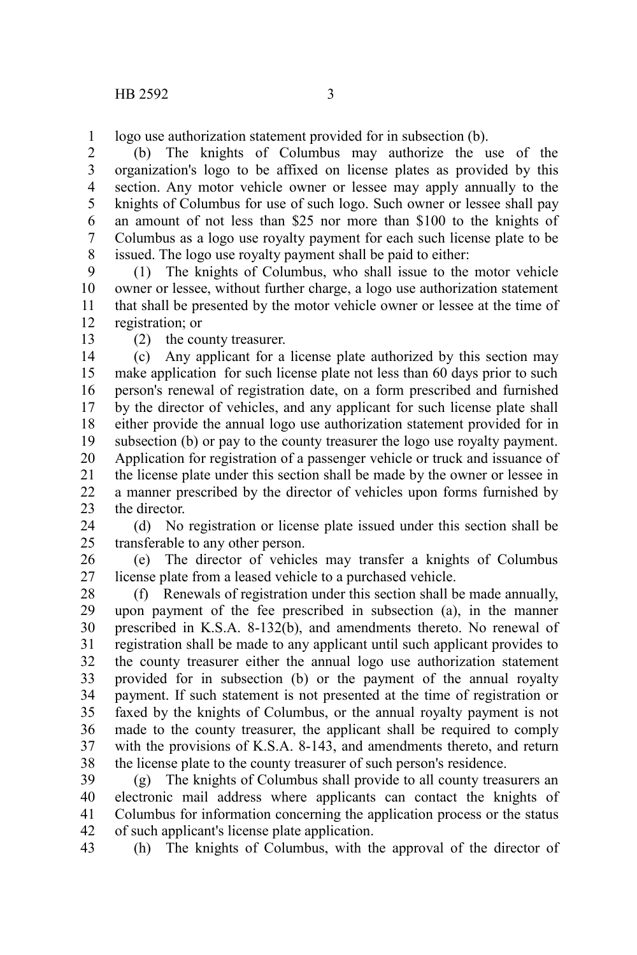logo use authorization statement provided for in subsection (b). 1

(b) The knights of Columbus may authorize the use of the organization's logo to be affixed on license plates as provided by this section. Any motor vehicle owner or lessee may apply annually to the knights of Columbus for use of such logo. Such owner or lessee shall pay an amount of not less than \$25 nor more than \$100 to the knights of Columbus as a logo use royalty payment for each such license plate to be issued. The logo use royalty payment shall be paid to either: 2 3 4 5 6 7 8

(1) The knights of Columbus, who shall issue to the motor vehicle owner or lessee, without further charge, a logo use authorization statement that shall be presented by the motor vehicle owner or lessee at the time of registration; or 9 10 11 12

13

(2) the county treasurer.

(c) Any applicant for a license plate authorized by this section may make application for such license plate not less than 60 days prior to such person's renewal of registration date, on a form prescribed and furnished by the director of vehicles, and any applicant for such license plate shall either provide the annual logo use authorization statement provided for in subsection (b) or pay to the county treasurer the logo use royalty payment. Application for registration of a passenger vehicle or truck and issuance of the license plate under this section shall be made by the owner or lessee in a manner prescribed by the director of vehicles upon forms furnished by the director. 14 15 16 17 18 19 20 21 22 23

(d) No registration or license plate issued under this section shall be transferable to any other person. 24 25

(e) The director of vehicles may transfer a knights of Columbus license plate from a leased vehicle to a purchased vehicle. 26 27

(f) Renewals of registration under this section shall be made annually, upon payment of the fee prescribed in subsection (a), in the manner prescribed in K.S.A. 8-132(b), and amendments thereto. No renewal of registration shall be made to any applicant until such applicant provides to the county treasurer either the annual logo use authorization statement provided for in subsection (b) or the payment of the annual royalty payment. If such statement is not presented at the time of registration or faxed by the knights of Columbus, or the annual royalty payment is not made to the county treasurer, the applicant shall be required to comply with the provisions of K.S.A. 8-143, and amendments thereto, and return the license plate to the county treasurer of such person's residence. 28 29 30 31 32 33 34 35 36 37 38

(g) The knights of Columbus shall provide to all county treasurers an electronic mail address where applicants can contact the knights of Columbus for information concerning the application process or the status of such applicant's license plate application. 39 40 41 42

(h) The knights of Columbus, with the approval of the director of 43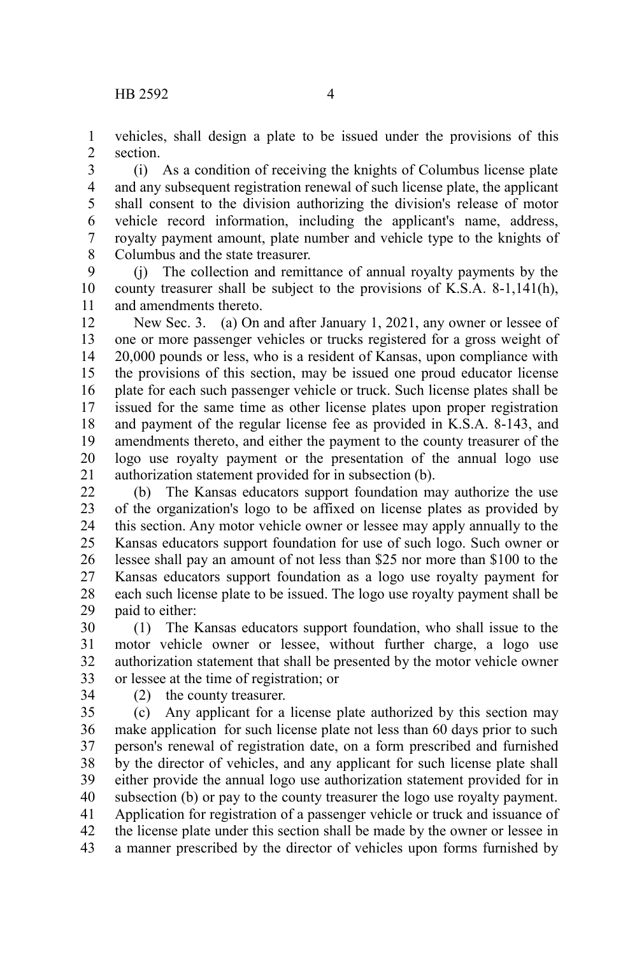vehicles, shall design a plate to be issued under the provisions of this section. 1 2

(i) As a condition of receiving the knights of Columbus license plate and any subsequent registration renewal of such license plate, the applicant shall consent to the division authorizing the division's release of motor vehicle record information, including the applicant's name, address, royalty payment amount, plate number and vehicle type to the knights of Columbus and the state treasurer. 3 4 5 6 7 8

(j) The collection and remittance of annual royalty payments by the county treasurer shall be subject to the provisions of K.S.A. 8-1,141(h), and amendments thereto. 9 10 11

New Sec. 3. (a) On and after January 1, 2021, any owner or lessee of one or more passenger vehicles or trucks registered for a gross weight of 20,000 pounds or less, who is a resident of Kansas, upon compliance with the provisions of this section, may be issued one proud educator license plate for each such passenger vehicle or truck. Such license plates shall be issued for the same time as other license plates upon proper registration and payment of the regular license fee as provided in K.S.A. 8-143, and amendments thereto, and either the payment to the county treasurer of the logo use royalty payment or the presentation of the annual logo use authorization statement provided for in subsection (b). 12 13 14 15 16 17 18 19 20 21

(b) The Kansas educators support foundation may authorize the use of the organization's logo to be affixed on license plates as provided by this section. Any motor vehicle owner or lessee may apply annually to the Kansas educators support foundation for use of such logo. Such owner or lessee shall pay an amount of not less than \$25 nor more than \$100 to the Kansas educators support foundation as a logo use royalty payment for each such license plate to be issued. The logo use royalty payment shall be paid to either: 22 23 24 25 26 27 28 29

(1) The Kansas educators support foundation, who shall issue to the motor vehicle owner or lessee, without further charge, a logo use authorization statement that shall be presented by the motor vehicle owner or lessee at the time of registration; or 30 31 32 33

34

(2) the county treasurer.

(c) Any applicant for a license plate authorized by this section may make application for such license plate not less than 60 days prior to such person's renewal of registration date, on a form prescribed and furnished by the director of vehicles, and any applicant for such license plate shall either provide the annual logo use authorization statement provided for in subsection (b) or pay to the county treasurer the logo use royalty payment. Application for registration of a passenger vehicle or truck and issuance of the license plate under this section shall be made by the owner or lessee in a manner prescribed by the director of vehicles upon forms furnished by 35 36 37 38 39 40 41 42 43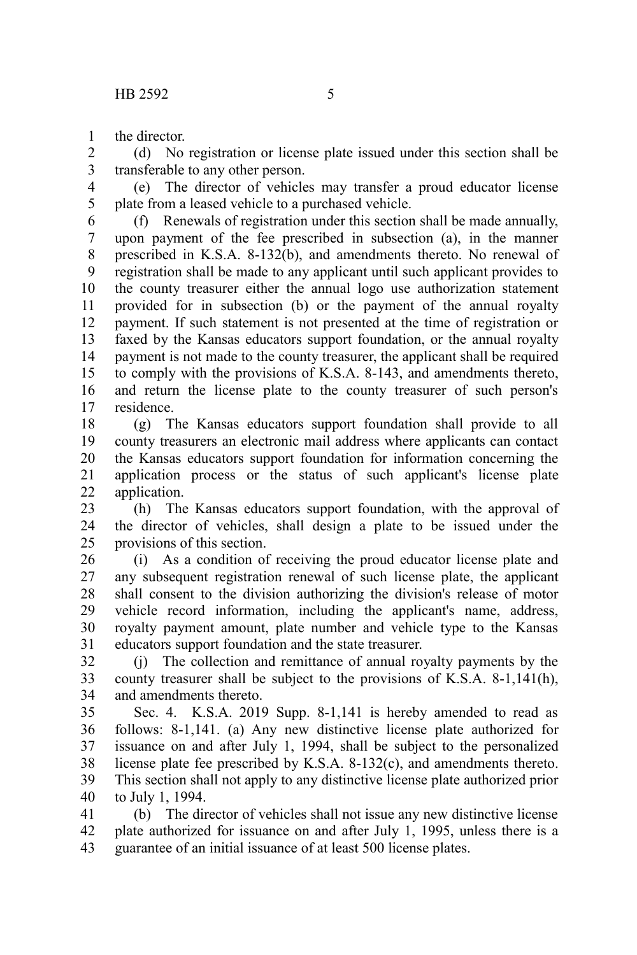the director. 1

(d) No registration or license plate issued under this section shall be transferable to any other person. 2 3

(e) The director of vehicles may transfer a proud educator license plate from a leased vehicle to a purchased vehicle. 4 5

(f) Renewals of registration under this section shall be made annually, upon payment of the fee prescribed in subsection (a), in the manner prescribed in K.S.A. 8-132(b), and amendments thereto. No renewal of registration shall be made to any applicant until such applicant provides to the county treasurer either the annual logo use authorization statement provided for in subsection (b) or the payment of the annual royalty payment. If such statement is not presented at the time of registration or faxed by the Kansas educators support foundation, or the annual royalty payment is not made to the county treasurer, the applicant shall be required to comply with the provisions of K.S.A. 8-143, and amendments thereto, and return the license plate to the county treasurer of such person's residence. 6 7 8 9 10 11 12 13 14 15 16 17

(g) The Kansas educators support foundation shall provide to all county treasurers an electronic mail address where applicants can contact the Kansas educators support foundation for information concerning the application process or the status of such applicant's license plate application. 18 19 20 21 22

(h) The Kansas educators support foundation, with the approval of the director of vehicles, shall design a plate to be issued under the provisions of this section. 23 24 25

(i) As a condition of receiving the proud educator license plate and any subsequent registration renewal of such license plate, the applicant shall consent to the division authorizing the division's release of motor vehicle record information, including the applicant's name, address, royalty payment amount, plate number and vehicle type to the Kansas educators support foundation and the state treasurer. 26 27 28 29 30 31

(j) The collection and remittance of annual royalty payments by the county treasurer shall be subject to the provisions of K.S.A. 8-1,141(h), and amendments thereto. 32 33 34

Sec. 4. K.S.A. 2019 Supp. 8-1,141 is hereby amended to read as follows: 8-1,141. (a) Any new distinctive license plate authorized for issuance on and after July 1, 1994, shall be subject to the personalized license plate fee prescribed by K.S.A. 8-132(c), and amendments thereto. This section shall not apply to any distinctive license plate authorized prior to July 1, 1994. 35 36 37 38 39 40

(b) The director of vehicles shall not issue any new distinctive license plate authorized for issuance on and after July 1, 1995, unless there is a guarantee of an initial issuance of at least 500 license plates. 41 42 43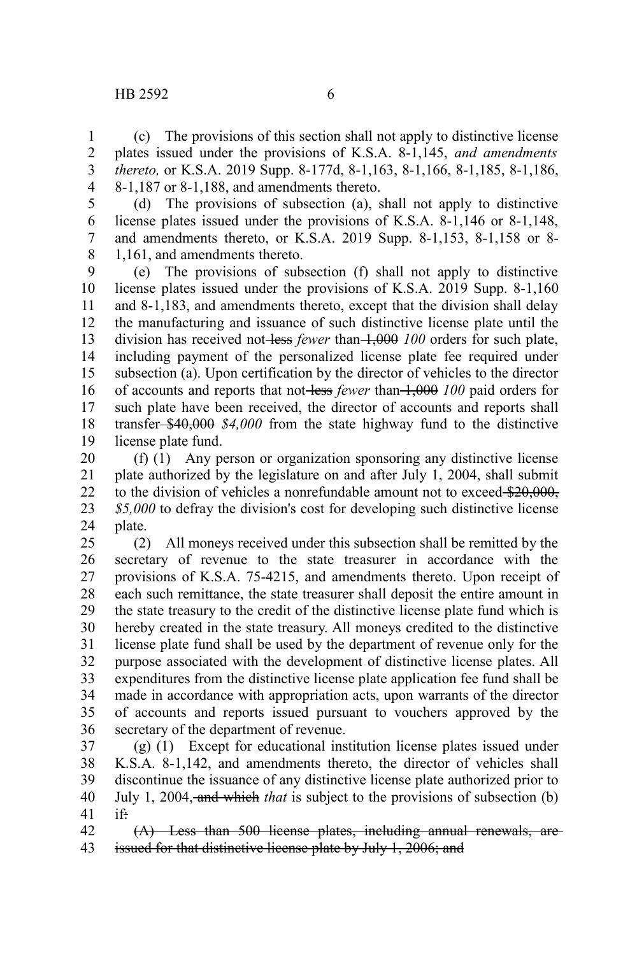## $HB 2592$  6

(c) The provisions of this section shall not apply to distinctive license plates issued under the provisions of K.S.A. 8-1,145, *and amendments thereto,* or K.S.A. 2019 Supp. 8-177d, 8-1,163, 8-1,166, 8-1,185, 8-1,186, 8-1,187 or 8-1,188, and amendments thereto. 1 2 3 4

(d) The provisions of subsection (a), shall not apply to distinctive license plates issued under the provisions of K.S.A. 8-1,146 or 8-1,148, and amendments thereto, or K.S.A. 2019 Supp. 8-1,153, 8-1,158 or 8- 1,161, and amendments thereto. 5 6 7 8

(e) The provisions of subsection (f) shall not apply to distinctive license plates issued under the provisions of K.S.A. 2019 Supp. 8-1,160 and 8-1,183, and amendments thereto, except that the division shall delay the manufacturing and issuance of such distinctive license plate until the division has received not-less *fewer* than 1,000 *100* orders for such plate, including payment of the personalized license plate fee required under subsection (a). Upon certification by the director of vehicles to the director of accounts and reports that not less *fewer* than 1,000 *100* paid orders for such plate have been received, the director of accounts and reports shall transfer \$40,000 *\$4,000* from the state highway fund to the distinctive license plate fund. 9 10 11 12 13 14 15 16 17 18 19

(f) (1) Any person or organization sponsoring any distinctive license plate authorized by the legislature on and after July 1, 2004, shall submit to the division of vehicles a nonrefundable amount not to exceed \$20,000, *\$5,000* to defray the division's cost for developing such distinctive license plate. 20 21 22 23 24

(2) All moneys received under this subsection shall be remitted by the secretary of revenue to the state treasurer in accordance with the provisions of K.S.A. 75-4215, and amendments thereto. Upon receipt of each such remittance, the state treasurer shall deposit the entire amount in the state treasury to the credit of the distinctive license plate fund which is hereby created in the state treasury. All moneys credited to the distinctive license plate fund shall be used by the department of revenue only for the purpose associated with the development of distinctive license plates. All expenditures from the distinctive license plate application fee fund shall be made in accordance with appropriation acts, upon warrants of the director of accounts and reports issued pursuant to vouchers approved by the secretary of the department of revenue. 25 26 27 28 29 30 31 32 33 34 35 36

(g) (1) Except for educational institution license plates issued under K.S.A. 8-1,142, and amendments thereto, the director of vehicles shall discontinue the issuance of any distinctive license plate authorized prior to July 1, 2004, and which *that* is subject to the provisions of subsection (b) if: 37 38 39 40 41

(A) Less than 500 license plates, including annual renewals, are issued for that distinctive license plate by July 1, 2006; and 42 43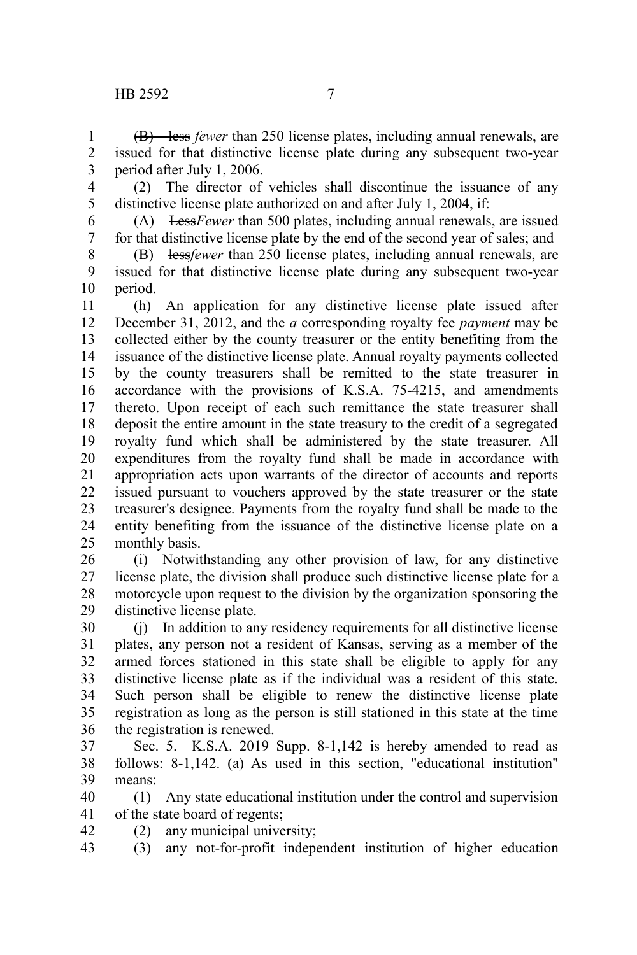(B) less *fewer* than 250 license plates, including annual renewals, are issued for that distinctive license plate during any subsequent two-year period after July 1, 2006. 1 2 3

4

(2) The director of vehicles shall discontinue the issuance of any distinctive license plate authorized on and after July 1, 2004, if:

5 6 7

(A) Less*Fewer* than 500 plates, including annual renewals, are issued for that distinctive license plate by the end of the second year of sales; and

(B) less*fewer* than 250 license plates, including annual renewals, are issued for that distinctive license plate during any subsequent two-year period. 8 9 10

(h) An application for any distinctive license plate issued after December 31, 2012, and the *a* corresponding royalty fee *payment* may be collected either by the county treasurer or the entity benefiting from the issuance of the distinctive license plate. Annual royalty payments collected by the county treasurers shall be remitted to the state treasurer in accordance with the provisions of K.S.A. 75-4215, and amendments thereto. Upon receipt of each such remittance the state treasurer shall deposit the entire amount in the state treasury to the credit of a segregated royalty fund which shall be administered by the state treasurer. All expenditures from the royalty fund shall be made in accordance with appropriation acts upon warrants of the director of accounts and reports issued pursuant to vouchers approved by the state treasurer or the state treasurer's designee. Payments from the royalty fund shall be made to the entity benefiting from the issuance of the distinctive license plate on a monthly basis. 11 12 13 14 15 16 17 18 19 20 21 22 23 24 25

(i) Notwithstanding any other provision of law, for any distinctive license plate, the division shall produce such distinctive license plate for a motorcycle upon request to the division by the organization sponsoring the distinctive license plate. 26 27 28 29

(j) In addition to any residency requirements for all distinctive license plates, any person not a resident of Kansas, serving as a member of the armed forces stationed in this state shall be eligible to apply for any distinctive license plate as if the individual was a resident of this state. Such person shall be eligible to renew the distinctive license plate registration as long as the person is still stationed in this state at the time the registration is renewed. 30 31 32 33 34 35 36

Sec. 5. K.S.A. 2019 Supp. 8-1,142 is hereby amended to read as follows: 8-1,142. (a) As used in this section, "educational institution" means: 37 38 39

(1) Any state educational institution under the control and supervision of the state board of regents; 40 41

(2) any municipal university; 42

(3) any not-for-profit independent institution of higher education 43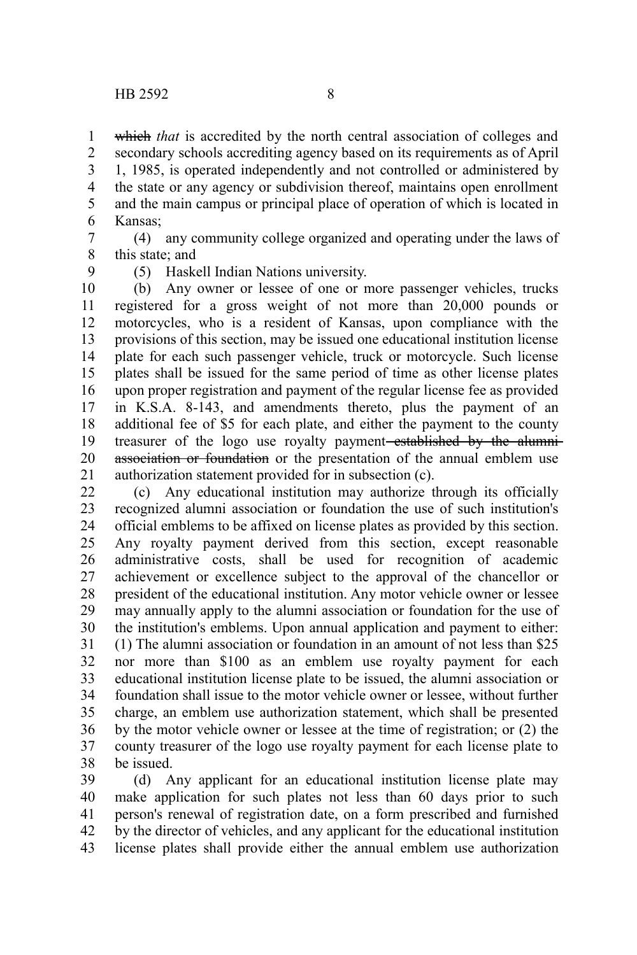which *that* is accredited by the north central association of colleges and secondary schools accrediting agency based on its requirements as of April 1, 1985, is operated independently and not controlled or administered by the state or any agency or subdivision thereof, maintains open enrollment and the main campus or principal place of operation of which is located in Kansas; 1 2 3 4 5 6

(4) any community college organized and operating under the laws of this state; and 7 8

9

(5) Haskell Indian Nations university.

(b) Any owner or lessee of one or more passenger vehicles, trucks registered for a gross weight of not more than 20,000 pounds or motorcycles, who is a resident of Kansas, upon compliance with the provisions of this section, may be issued one educational institution license plate for each such passenger vehicle, truck or motorcycle. Such license plates shall be issued for the same period of time as other license plates upon proper registration and payment of the regular license fee as provided in K.S.A. 8-143, and amendments thereto, plus the payment of an additional fee of \$5 for each plate, and either the payment to the county treasurer of the logo use royalty payment<del>-established by the alumni</del>association or foundation or the presentation of the annual emblem use authorization statement provided for in subsection (c). 10 11 12 13 14 15 16 17 18 19 20 21

(c) Any educational institution may authorize through its officially recognized alumni association or foundation the use of such institution's official emblems to be affixed on license plates as provided by this section. Any royalty payment derived from this section, except reasonable administrative costs, shall be used for recognition of academic achievement or excellence subject to the approval of the chancellor or president of the educational institution. Any motor vehicle owner or lessee may annually apply to the alumni association or foundation for the use of the institution's emblems. Upon annual application and payment to either: (1) The alumni association or foundation in an amount of not less than \$25 nor more than \$100 as an emblem use royalty payment for each educational institution license plate to be issued, the alumni association or foundation shall issue to the motor vehicle owner or lessee, without further charge, an emblem use authorization statement, which shall be presented by the motor vehicle owner or lessee at the time of registration; or (2) the county treasurer of the logo use royalty payment for each license plate to be issued. 22 23 24 25 26 27 28 29 30 31 32 33 34 35 36 37 38

(d) Any applicant for an educational institution license plate may make application for such plates not less than 60 days prior to such person's renewal of registration date, on a form prescribed and furnished by the director of vehicles, and any applicant for the educational institution license plates shall provide either the annual emblem use authorization 39 40 41 42 43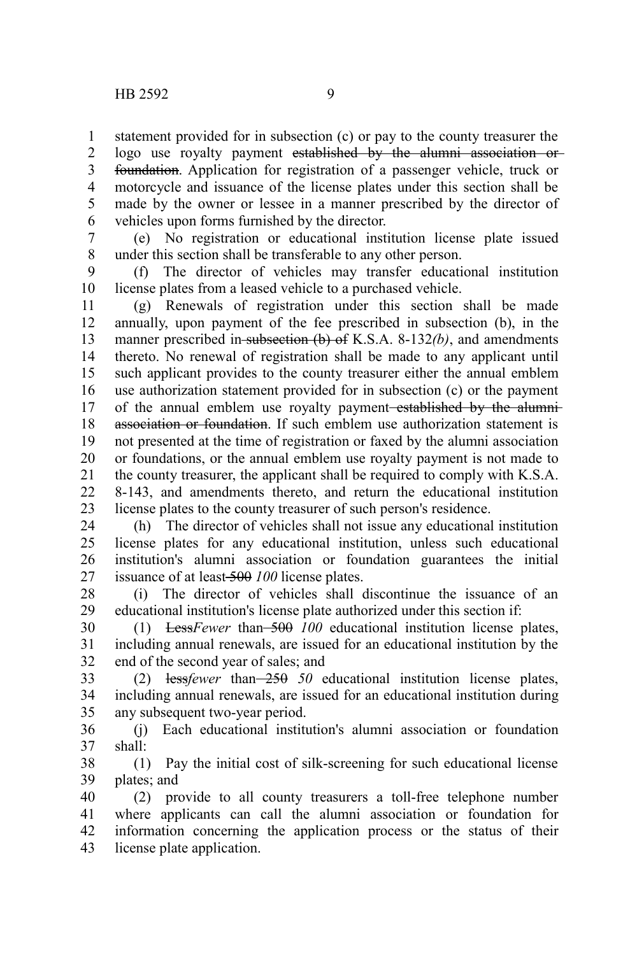statement provided for in subsection (c) or pay to the county treasurer the logo use royalty payment established by the alumni association or foundation. Application for registration of a passenger vehicle, truck or motorcycle and issuance of the license plates under this section shall be made by the owner or lessee in a manner prescribed by the director of vehicles upon forms furnished by the director. 1 2 3 4 5 6

7

(e) No registration or educational institution license plate issued under this section shall be transferable to any other person. 8

(f) The director of vehicles may transfer educational institution license plates from a leased vehicle to a purchased vehicle. 9 10

(g) Renewals of registration under this section shall be made annually, upon payment of the fee prescribed in subsection (b), in the manner prescribed in-subsection (b) of K.S.A. 8-132(b), and amendments thereto. No renewal of registration shall be made to any applicant until such applicant provides to the county treasurer either the annual emblem use authorization statement provided for in subsection (c) or the payment of the annual emblem use royalty payment-established by the alumniassociation or foundation. If such emblem use authorization statement is not presented at the time of registration or faxed by the alumni association or foundations, or the annual emblem use royalty payment is not made to the county treasurer, the applicant shall be required to comply with K.S.A. 8-143, and amendments thereto, and return the educational institution license plates to the county treasurer of such person's residence. 11 12 13 14 15 16 17 18 19 20 21 22 23

(h) The director of vehicles shall not issue any educational institution license plates for any educational institution, unless such educational institution's alumni association or foundation guarantees the initial issuance of at least 500 *100* license plates. 24  $25$ 26 27

(i) The director of vehicles shall discontinue the issuance of an educational institution's license plate authorized under this section if: 28 29

(1) Less*Fewer* than 500 *100* educational institution license plates, including annual renewals, are issued for an educational institution by the end of the second year of sales; and 30 31 32

(2) less*fewer* than 250 *50* educational institution license plates, including annual renewals, are issued for an educational institution during any subsequent two-year period. 33 34 35

(j) Each educational institution's alumni association or foundation shall: 36 37

(1) Pay the initial cost of silk-screening for such educational license plates; and 38 39

(2) provide to all county treasurers a toll-free telephone number where applicants can call the alumni association or foundation for information concerning the application process or the status of their license plate application. 40 41 42 43